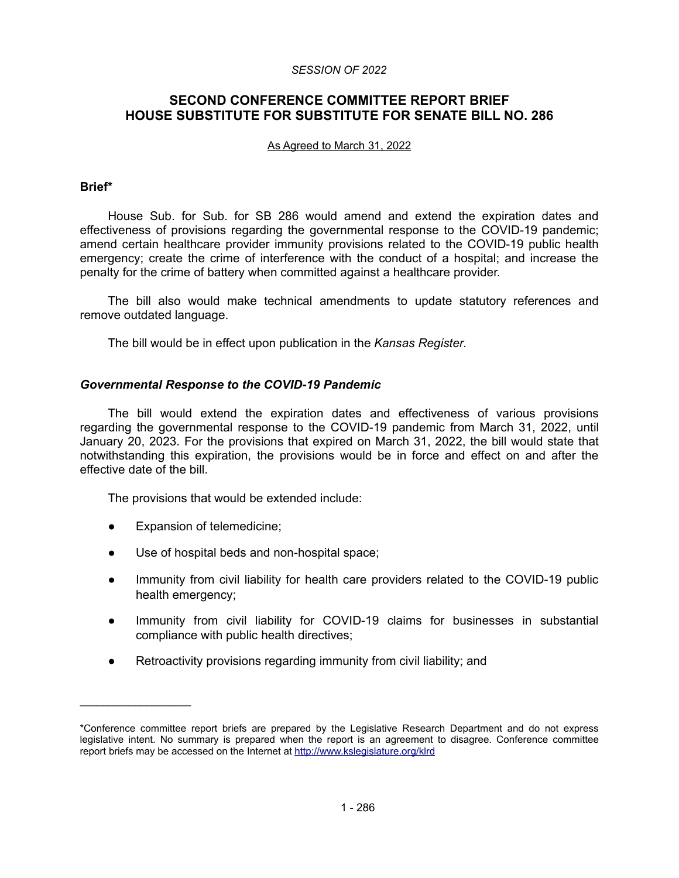#### *SESSION OF 2022*

# **SECOND CONFERENCE COMMITTEE REPORT BRIEF HOUSE SUBSTITUTE FOR SUBSTITUTE FOR SENATE BILL NO. 286**

#### As Agreed to March 31, 2022

#### **Brief\***

House Sub. for Sub. for SB 286 would amend and extend the expiration dates and effectiveness of provisions regarding the governmental response to the COVID-19 pandemic; amend certain healthcare provider immunity provisions related to the COVID-19 public health emergency; create the crime of interference with the conduct of a hospital; and increase the penalty for the crime of battery when committed against a healthcare provider.

The bill also would make technical amendments to update statutory references and remove outdated language.

The bill would be in effect upon publication in the *Kansas Register*.

### *Governmental Response to the COVID-19 Pandemic*

The bill would extend the expiration dates and effectiveness of various provisions regarding the governmental response to the COVID-19 pandemic from March 31, 2022, until January 20, 2023. For the provisions that expired on March 31, 2022, the bill would state that notwithstanding this expiration, the provisions would be in force and effect on and after the effective date of the bill.

The provisions that would be extended include:

● Expansion of telemedicine;

 $\mathcal{L}=\{1,2,3,4,5\}$ 

- Use of hospital beds and non-hospital space;
- Immunity from civil liability for health care providers related to the COVID-19 public health emergency;
- Immunity from civil liability for COVID-19 claims for businesses in substantial compliance with public health directives;
- Retroactivity provisions regarding immunity from civil liability; and

<sup>\*</sup>Conference committee report briefs are prepared by the Legislative Research Department and do not express legislative intent. No summary is prepared when the report is an agreement to disagree. Conference committee report briefs may be accessed on the Internet at<http://www.kslegislature.org/klrd>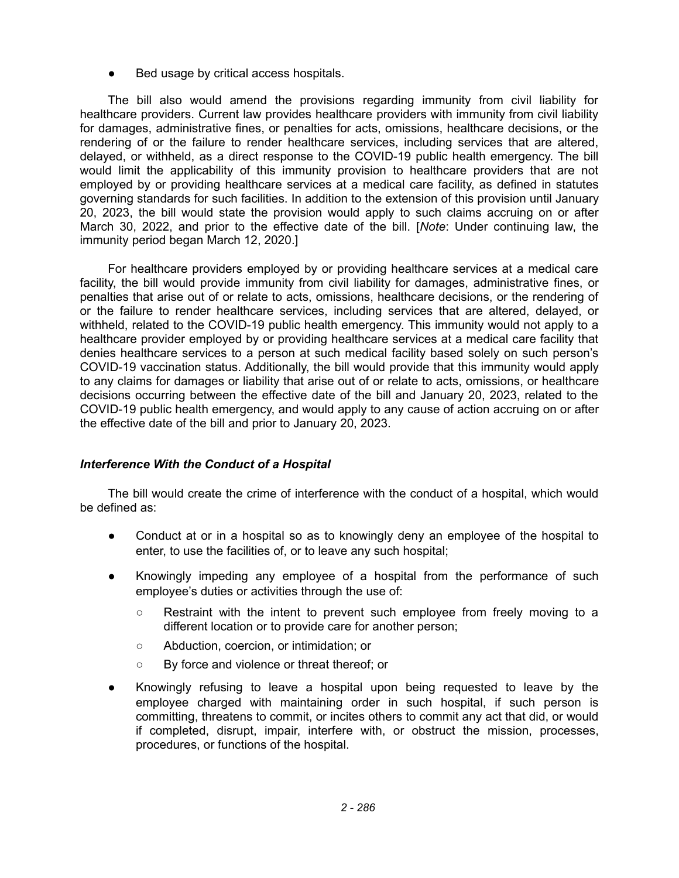Bed usage by critical access hospitals.

The bill also would amend the provisions regarding immunity from civil liability for healthcare providers. Current law provides healthcare providers with immunity from civil liability for damages, administrative fines, or penalties for acts, omissions, healthcare decisions, or the rendering of or the failure to render healthcare services, including services that are altered, delayed, or withheld, as a direct response to the COVID-19 public health emergency. The bill would limit the applicability of this immunity provision to healthcare providers that are not employed by or providing healthcare services at a medical care facility, as defined in statutes governing standards for such facilities. In addition to the extension of this provision until January 20, 2023, the bill would state the provision would apply to such claims accruing on or after March 30, 2022, and prior to the effective date of the bill. [*Note*: Under continuing law, the immunity period began March 12, 2020.]

For healthcare providers employed by or providing healthcare services at a medical care facility, the bill would provide immunity from civil liability for damages, administrative fines, or penalties that arise out of or relate to acts, omissions, healthcare decisions, or the rendering of or the failure to render healthcare services, including services that are altered, delayed, or withheld, related to the COVID-19 public health emergency. This immunity would not apply to a healthcare provider employed by or providing healthcare services at a medical care facility that denies healthcare services to a person at such medical facility based solely on such person's COVID-19 vaccination status. Additionally, the bill would provide that this immunity would apply to any claims for damages or liability that arise out of or relate to acts, omissions, or healthcare decisions occurring between the effective date of the bill and January 20, 2023, related to the COVID-19 public health emergency, and would apply to any cause of action accruing on or after the effective date of the bill and prior to January 20, 2023.

## *Interference With the Conduct of a Hospital*

The bill would create the crime of interference with the conduct of a hospital, which would be defined as:

- Conduct at or in a hospital so as to knowingly deny an employee of the hospital to enter, to use the facilities of, or to leave any such hospital;
- Knowingly impeding any employee of a hospital from the performance of such employee's duties or activities through the use of:
	- Restraint with the intent to prevent such employee from freely moving to a different location or to provide care for another person;
	- Abduction, coercion, or intimidation; or
	- By force and violence or threat thereof; or
- Knowingly refusing to leave a hospital upon being requested to leave by the employee charged with maintaining order in such hospital, if such person is committing, threatens to commit, or incites others to commit any act that did, or would if completed, disrupt, impair, interfere with, or obstruct the mission, processes, procedures, or functions of the hospital.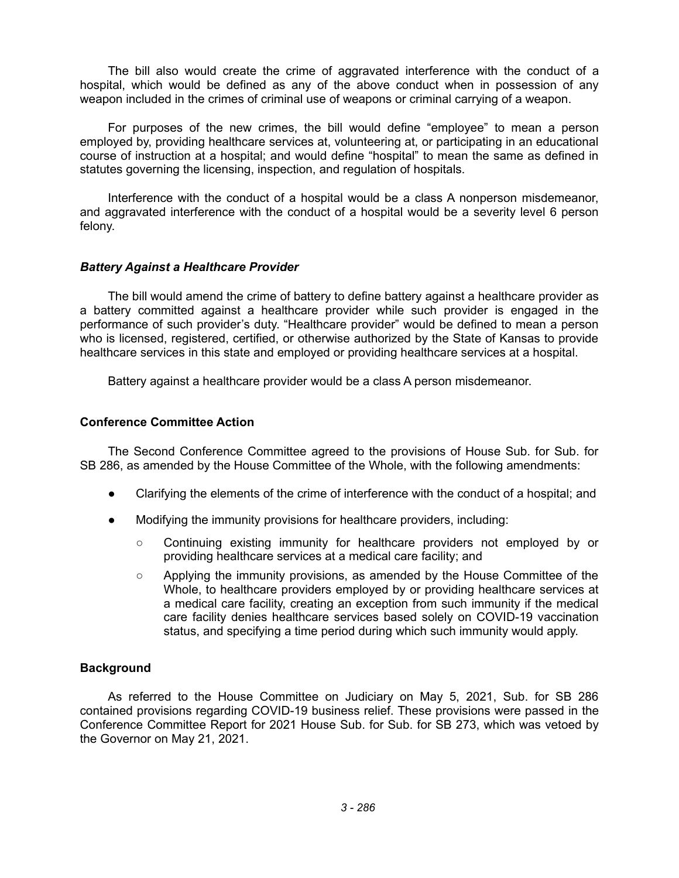The bill also would create the crime of aggravated interference with the conduct of a hospital, which would be defined as any of the above conduct when in possession of any weapon included in the crimes of criminal use of weapons or criminal carrying of a weapon.

For purposes of the new crimes, the bill would define "employee" to mean a person employed by, providing healthcare services at, volunteering at, or participating in an educational course of instruction at a hospital; and would define "hospital" to mean the same as defined in statutes governing the licensing, inspection, and regulation of hospitals.

Interference with the conduct of a hospital would be a class A nonperson misdemeanor, and aggravated interference with the conduct of a hospital would be a severity level 6 person felony.

## *Battery Against a Healthcare Provider*

The bill would amend the crime of battery to define battery against a healthcare provider as a battery committed against a healthcare provider while such provider is engaged in the performance of such provider's duty. "Healthcare provider" would be defined to mean a person who is licensed, registered, certified, or otherwise authorized by the State of Kansas to provide healthcare services in this state and employed or providing healthcare services at a hospital.

Battery against a healthcare provider would be a class A person misdemeanor.

#### **Conference Committee Action**

The Second Conference Committee agreed to the provisions of House Sub. for Sub. for SB 286, as amended by the House Committee of the Whole, with the following amendments:

- Clarifying the elements of the crime of interference with the conduct of a hospital; and
- Modifying the immunity provisions for healthcare providers, including:
	- Continuing existing immunity for healthcare providers not employed by or providing healthcare services at a medical care facility; and
	- Applying the immunity provisions, as amended by the House Committee of the Whole, to healthcare providers employed by or providing healthcare services at a medical care facility, creating an exception from such immunity if the medical care facility denies healthcare services based solely on COVID-19 vaccination status, and specifying a time period during which such immunity would apply.

## **Background**

As referred to the House Committee on Judiciary on May 5, 2021, Sub. for SB 286 contained provisions regarding COVID-19 business relief. These provisions were passed in the Conference Committee Report for 2021 House Sub. for Sub. for SB 273, which was vetoed by the Governor on May 21, 2021.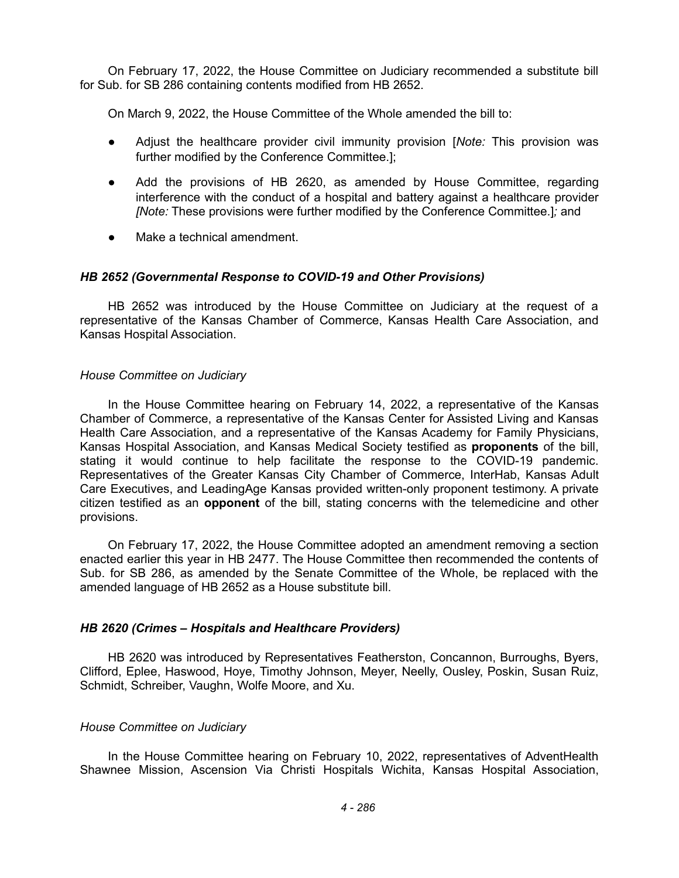On February 17, 2022, the House Committee on Judiciary recommended a substitute bill for Sub. for SB 286 containing contents modified from HB 2652.

On March 9, 2022, the House Committee of the Whole amended the bill to:

- Adjust the healthcare provider civil immunity provision [*Note:* This provision was further modified by the Conference Committee.];
- Add the provisions of HB 2620, as amended by House Committee, regarding interference with the conduct of a hospital and battery against a healthcare provider *[Note:* These provisions were further modified by the Conference Committee.]*;* and
- Make a technical amendment.

## *HB 2652 (Governmental Response to COVID-19 and Other Provisions)*

HB 2652 was introduced by the House Committee on Judiciary at the request of a representative of the Kansas Chamber of Commerce, Kansas Health Care Association, and Kansas Hospital Association.

## *House Committee on Judiciary*

In the House Committee hearing on February 14, 2022, a representative of the Kansas Chamber of Commerce, a representative of the Kansas Center for Assisted Living and Kansas Health Care Association, and a representative of the Kansas Academy for Family Physicians, Kansas Hospital Association, and Kansas Medical Society testified as **proponents** of the bill, stating it would continue to help facilitate the response to the COVID-19 pandemic. Representatives of the Greater Kansas City Chamber of Commerce, InterHab, Kansas Adult Care Executives, and LeadingAge Kansas provided written-only proponent testimony. A private citizen testified as an **opponent** of the bill, stating concerns with the telemedicine and other provisions.

On February 17, 2022, the House Committee adopted an amendment removing a section enacted earlier this year in HB 2477. The House Committee then recommended the contents of Sub. for SB 286, as amended by the Senate Committee of the Whole, be replaced with the amended language of HB 2652 as a House substitute bill.

## *HB 2620 (Crimes – Hospitals and Healthcare Providers)*

HB 2620 was introduced by Representatives Featherston, Concannon, Burroughs, Byers, Clifford, Eplee, Haswood, Hoye, Timothy Johnson, Meyer, Neelly, Ousley, Poskin, Susan Ruiz, Schmidt, Schreiber, Vaughn, Wolfe Moore, and Xu.

## *House Committee on Judiciary*

In the House Committee hearing on February 10, 2022, representatives of AdventHealth Shawnee Mission, Ascension Via Christi Hospitals Wichita, Kansas Hospital Association,